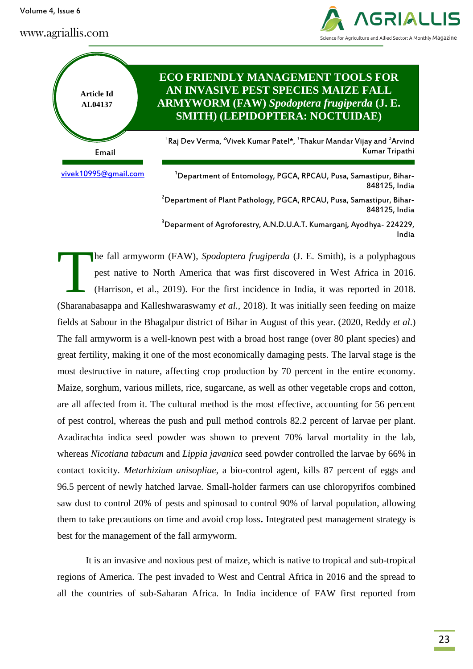Volume 4, Issue 6

www.agriallis.com





848125, India <sup>3</sup>Deparment of Agroforestry, A.N.D.U.A.T. Kumargani, Ayodhya-224229, India

he fall armyworm (FAW), *Spodoptera frugiperda* (J. E. Smith), is a polyphagous pest native to North America that was first discovered in West Africa in 2016. (Harrison, et al., 2019). For the first incidence in India, it was reported in 2018. (Sharanabasappa and Kalleshwaraswamy *et al.,* 2018). It was initially seen feeding on maize fields at Sabour in the Bhagalpur district of Bihar in August of this year. (2020, Reddy *et al*.) The fall armyworm is a well-known pest with a broad host range (over 80 plant species) and great fertility, making it one of the most economically damaging pests. The larval stage is the most destructive in nature, affecting crop production by 70 percent in the entire economy. Maize, sorghum, various millets, rice, sugarcane, as well as other vegetable crops and cotton, are all affected from it. The cultural method is the most effective, accounting for 56 percent of pest control, whereas the push and pull method controls 82.2 percent of larvae per plant. Azadirachta indica seed powder was shown to prevent 70% larval mortality in the lab, whereas *Nicotiana tabacum* and *Lippia javanica* seed powder controlled the larvae by 66% in contact toxicity. *Metarhizium anisopliae*, a bio-control agent, kills 87 percent of eggs and 96.5 percent of newly hatched larvae. Small-holder farmers can use chloropyrifos combined saw dust to control 20% of pests and spinosad to control 90% of larval population, allowing them to take precautions on time and avoid crop loss**.** Integrated pest management strategy is best for the management of the fall armyworm. T

It is an invasive and noxious pest of maize, which is native to tropical and sub-tropical regions of America. The pest invaded to West and Central Africa in 2016 and the spread to all the countries of sub-Saharan Africa. In India incidence of FAW first reported from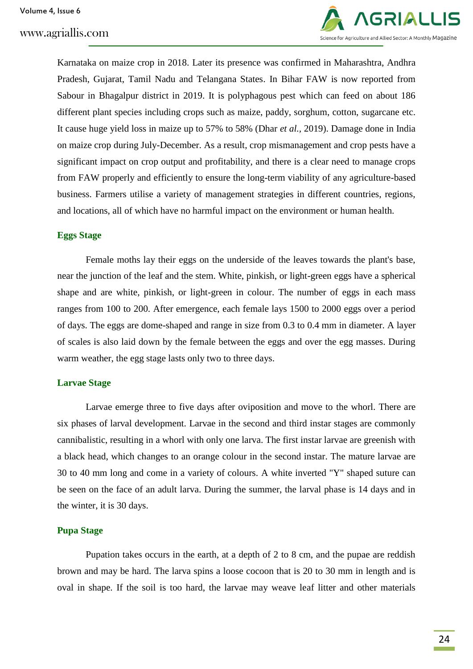

Karnataka on maize crop in 2018. Later its presence was confirmed in Maharashtra, Andhra Pradesh, Gujarat, Tamil Nadu and Telangana States. In Bihar FAW is now reported from Sabour in Bhagalpur district in 2019. It is polyphagous pest which can feed on about 186 different plant species including crops such as maize, paddy, sorghum, cotton, sugarcane etc. It cause huge yield loss in maize up to 57% to 58% (Dhar *et al.,* 2019). Damage done in India on maize crop during July-December. As a result, crop mismanagement and crop pests have a significant impact on crop output and profitability, and there is a clear need to manage crops from FAW properly and efficiently to ensure the long-term viability of any agriculture-based business. Farmers utilise a variety of management strategies in different countries, regions, and locations, all of which have no harmful impact on the environment or human health.

#### **Eggs Stage**

Female moths lay their eggs on the underside of the leaves towards the plant's base, near the junction of the leaf and the stem. White, pinkish, or light-green eggs have a spherical shape and are white, pinkish, or light-green in colour. The number of eggs in each mass ranges from 100 to 200. After emergence, each female lays 1500 to 2000 eggs over a period of days. The eggs are dome-shaped and range in size from 0.3 to 0.4 mm in diameter. A layer of scales is also laid down by the female between the eggs and over the egg masses. During warm weather, the egg stage lasts only two to three days.

#### **Larvae Stage**

Larvae emerge three to five days after oviposition and move to the whorl. There are six phases of larval development. Larvae in the second and third instar stages are commonly cannibalistic, resulting in a whorl with only one larva. The first instar larvae are greenish with a black head, which changes to an orange colour in the second instar. The mature larvae are 30 to 40 mm long and come in a variety of colours. A white inverted "Y" shaped suture can be seen on the face of an adult larva. During the summer, the larval phase is 14 days and in the winter, it is 30 days.

#### **Pupa Stage**

Pupation takes occurs in the earth, at a depth of 2 to 8 cm, and the pupae are reddish brown and may be hard. The larva spins a loose cocoon that is 20 to 30 mm in length and is oval in shape. If the soil is too hard, the larvae may weave leaf litter and other materials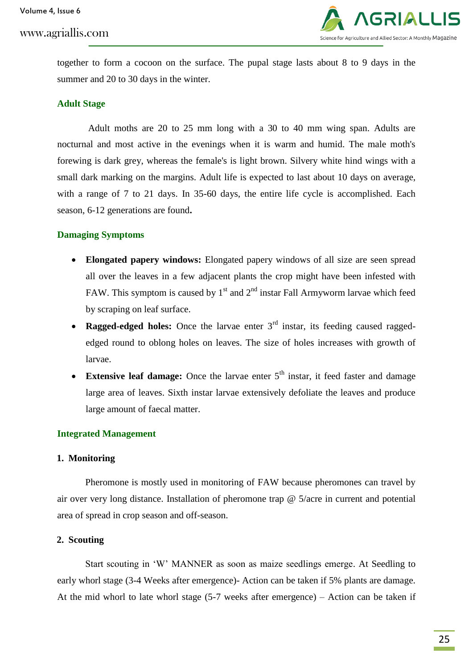# www.agriallis.com



together to form a cocoon on the surface. The pupal stage lasts about 8 to 9 days in the summer and 20 to 30 days in the winter.

### **Adult Stage**

Adult moths are 20 to 25 mm long with a 30 to 40 mm wing span. Adults are nocturnal and most active in the evenings when it is warm and humid. The male moth's forewing is dark grey, whereas the female's is light brown. Silvery white hind wings with a small dark marking on the margins. Adult life is expected to last about 10 days on average, with a range of 7 to 21 days. In 35-60 days, the entire life cycle is accomplished. Each season, 6-12 generations are found**.**

### **Damaging Symptoms**

- **Elongated papery windows:** Elongated papery windows of all size are seen spread all over the leaves in a few adjacent plants the crop might have been infested with FAW. This symptom is caused by  $1<sup>st</sup>$  and  $2<sup>nd</sup>$  instar Fall Armyworm larvae which feed by scraping on leaf surface.
- Ragged-edged holes: Once the larvae enter 3<sup>rd</sup> instar, its feeding caused raggededged round to oblong holes on leaves. The size of holes increases with growth of larvae.
- **Extensive leaf damage:** Once the larvae enter 5<sup>th</sup> instar, it feed faster and damage large area of leaves. Sixth instar larvae extensively defoliate the leaves and produce large amount of faecal matter.

#### **Integrated Management**

#### **1. Monitoring**

Pheromone is mostly used in monitoring of FAW because pheromones can travel by air over very long distance. Installation of pheromone trap @ 5/acre in current and potential area of spread in crop season and off-season.

#### **2. Scouting**

Start scouting in 'W' MANNER as soon as maize seedlings emerge. At Seedling to early whorl stage (3-4 Weeks after emergence)- Action can be taken if 5% plants are damage. At the mid whorl to late whorl stage (5-7 weeks after emergence) – Action can be taken if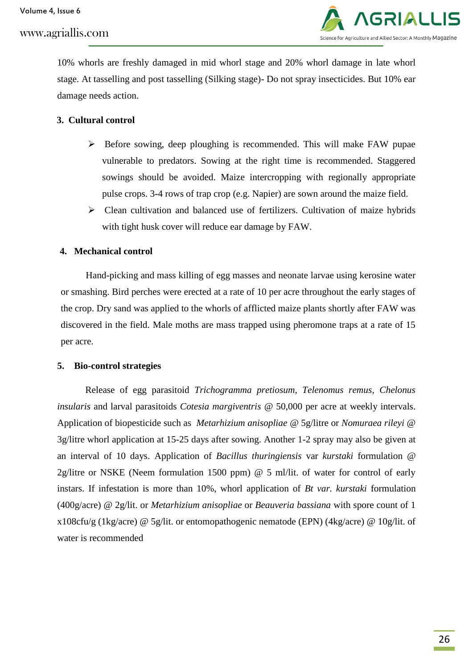Volume 4, Issue 6

www.agriallis.com



10% whorls are freshly damaged in mid whorl stage and 20% whorl damage in late whorl stage. At tasselling and post tasselling (Silking stage)- Do not spray insecticides. But 10% ear damage needs action.

# **3. Cultural control**

- $\triangleright$  Before sowing, deep ploughing is recommended. This will make FAW pupae vulnerable to predators. Sowing at the right time is recommended. Staggered sowings should be avoided. Maize intercropping with regionally appropriate pulse crops. 3-4 rows of trap crop (e.g. Napier) are sown around the maize field.
- $\triangleright$  Clean cultivation and balanced use of fertilizers. Cultivation of maize hybrids with tight husk cover will reduce ear damage by FAW.

# **4. Mechanical control**

Hand-picking and mass killing of egg masses and neonate larvae using kerosine water or smashing. Bird perches were erected at a rate of 10 per acre throughout the early stages of the crop. Dry sand was applied to the whorls of afflicted maize plants shortly after FAW was discovered in the field. Male moths are mass trapped using pheromone traps at a rate of 15 per acre.

### **5. Bio-control strategies**

Release of egg parasitoid *Trichogramma pretiosum, Telenomus remus, Chelonus insularis* and larval parasitoids *Cotesia margiventris* @ 50,000 per acre at weekly intervals. Application of biopesticide such as *Metarhizium anisopliae* @ 5g/litre or *Nomuraea rileyi* @ 3g/litre whorl application at 15-25 days after sowing. Another 1-2 spray may also be given at an interval of 10 days. Application of *Bacillus thuringiensis* var *kurstaki* formulation @ 2g/litre or NSKE (Neem formulation 1500 ppm) @ 5 ml/lit. of water for control of early instars. If infestation is more than 10%, whorl application of *Bt var. kurstaki* formulation (400g/acre) @ 2g/lit. or *Metarhizium anisopliae* or *Beauveria bassiana* with spore count of 1 x108cfu/g (1kg/acre) @ 5g/lit. or entomopathogenic nematode (EPN) (4kg/acre) @ 10g/lit. of water is recommended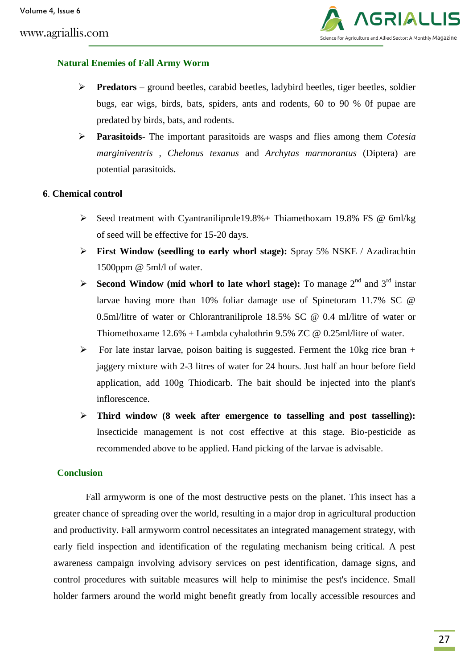

# **Natural Enemies of Fall Army Worm**

- **Predators** ground beetles, carabid beetles, ladybird beetles, tiger beetles, soldier bugs, ear wigs, birds, bats, spiders, ants and rodents, 60 to 90 % 0f pupae are predated by birds, bats, and rodents.
- **Parasitoids** The important parasitoids are wasps and flies among them *Cotesia marginiventris , Chelonus texanus* and *Archytas marmorantus* (Diptera) are potential parasitoids.

### **6**. **Chemical control**

- Seed treatment with Cyantraniliprole19.8% + Thiamethoxam 19.8% FS  $\omega$  6ml/kg of seed will be effective for 15-20 days.
- **First Window (seedling to early whorl stage):** Spray 5% NSKE / Azadirachtin 1500ppm @ 5ml/l of water.
- **Second Window (mid whorl to late whorl stage):** To manage  $2^{nd}$  and  $3^{rd}$  instar larvae having more than 10% foliar damage use of Spinetoram 11.7% SC @ 0.5ml/litre of water or Chlorantraniliprole 18.5% SC @ 0.4 ml/litre of water or Thiomethoxame 12.6% + Lambda cyhalothrin 9.5% ZC @ 0.25ml/litre of water.
- $\triangleright$  For late instar larvae, poison baiting is suggested. Ferment the 10kg rice bran + jaggery mixture with 2-3 litres of water for 24 hours. Just half an hour before field application, add 100g Thiodicarb. The bait should be injected into the plant's inflorescence.
- **Third window (8 week after emergence to tasselling and post tasselling):** Insecticide management is not cost effective at this stage. Bio-pesticide as recommended above to be applied. Hand picking of the larvae is advisable.

# **Conclusion**

Fall armyworm is one of the most destructive pests on the planet. This insect has a greater chance of spreading over the world, resulting in a major drop in agricultural production and productivity. Fall armyworm control necessitates an integrated management strategy, with early field inspection and identification of the regulating mechanism being critical. A pest awareness campaign involving advisory services on pest identification, damage signs, and control procedures with suitable measures will help to minimise the pest's incidence. Small holder farmers around the world might benefit greatly from locally accessible resources and